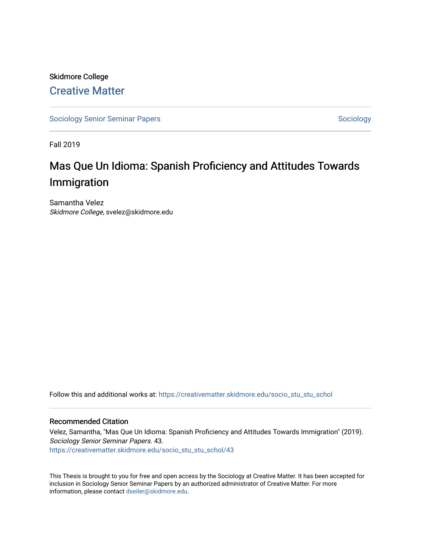# Skidmore College [Creative Matter](https://creativematter.skidmore.edu/)

[Sociology Senior Seminar Papers](https://creativematter.skidmore.edu/socio_stu_stu_schol) [Sociology](https://creativematter.skidmore.edu/stu_schol_socio_stu) Senior Seminar Papers Sociology

Fall 2019

# Mas Que Un Idioma: Spanish Proficiency and Attitudes Towards Immigration

Samantha Velez Skidmore College, svelez@skidmore.edu

Follow this and additional works at: [https://creativematter.skidmore.edu/socio\\_stu\\_stu\\_schol](https://creativematter.skidmore.edu/socio_stu_stu_schol?utm_source=creativematter.skidmore.edu%2Fsocio_stu_stu_schol%2F43&utm_medium=PDF&utm_campaign=PDFCoverPages) 

#### Recommended Citation

Velez, Samantha, "Mas Que Un Idioma: Spanish Proficiency and Attitudes Towards Immigration" (2019). Sociology Senior Seminar Papers. 43. [https://creativematter.skidmore.edu/socio\\_stu\\_stu\\_schol/43](https://creativematter.skidmore.edu/socio_stu_stu_schol/43?utm_source=creativematter.skidmore.edu%2Fsocio_stu_stu_schol%2F43&utm_medium=PDF&utm_campaign=PDFCoverPages)

This Thesis is brought to you for free and open access by the Sociology at Creative Matter. It has been accepted for inclusion in Sociology Senior Seminar Papers by an authorized administrator of Creative Matter. For more information, please contact [dseiler@skidmore.edu.](mailto:dseiler@skidmore.edu)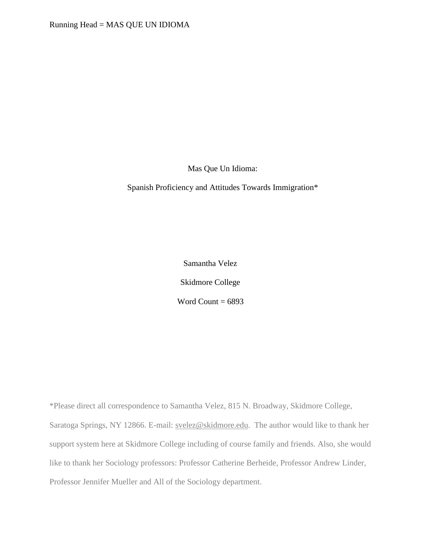Mas Que Un Idioma:

Spanish Proficiency and Attitudes Towards Immigration\*

Samantha Velez Skidmore College Word Count  $= 6893$ 

\*Please direct all correspondence to Samantha Velez, 815 N. Broadway, Skidmore College, Saratoga Springs, NY 12866. E-mail: [svelez@skidmore.edu.](mailto:svelez@skidmore.edu) The author would like to thank her support system here at Skidmore College including of course family and friends. Also, she would like to thank her Sociology professors: Professor Catherine Berheide, Professor Andrew Linder, Professor Jennifer Mueller and All of the Sociology department.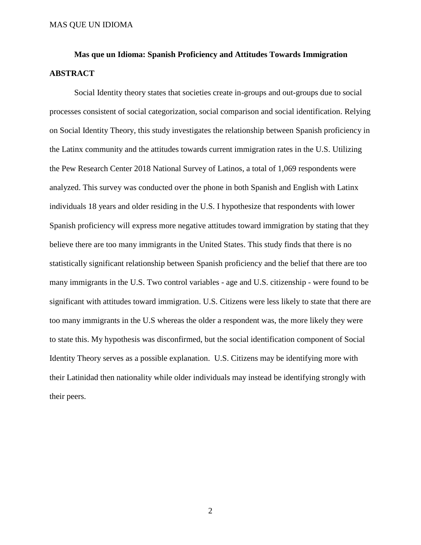# **Mas que un Idioma: Spanish Proficiency and Attitudes Towards Immigration ABSTRACT**

Social Identity theory states that societies create in-groups and out-groups due to social processes consistent of social categorization, social comparison and social identification. Relying on Social Identity Theory, this study investigates the relationship between Spanish proficiency in the Latinx community and the attitudes towards current immigration rates in the U.S. Utilizing the Pew Research Center 2018 National Survey of Latinos, a total of 1,069 respondents were analyzed. This survey was conducted over the phone in both Spanish and English with Latinx individuals 18 years and older residing in the U.S. I hypothesize that respondents with lower Spanish proficiency will express more negative attitudes toward immigration by stating that they believe there are too many immigrants in the United States. This study finds that there is no statistically significant relationship between Spanish proficiency and the belief that there are too many immigrants in the U.S. Two control variables - age and U.S. citizenship - were found to be significant with attitudes toward immigration. U.S. Citizens were less likely to state that there are too many immigrants in the U.S whereas the older a respondent was, the more likely they were to state this. My hypothesis was disconfirmed, but the social identification component of Social Identity Theory serves as a possible explanation. U.S. Citizens may be identifying more with their Latinidad then nationality while older individuals may instead be identifying strongly with their peers.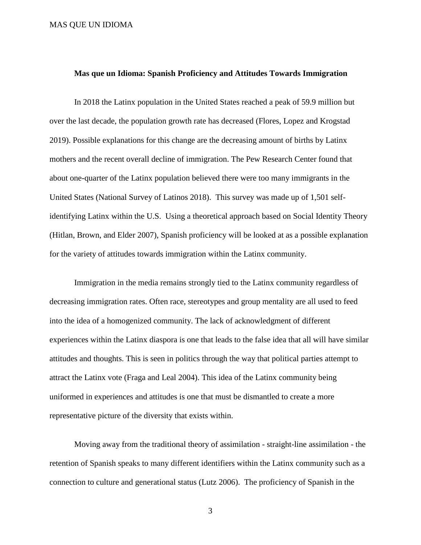#### **Mas que un Idioma: Spanish Proficiency and Attitudes Towards Immigration**

In 2018 the Latinx population in the United States reached a peak of 59.9 million but over the last decade, the population growth rate has decreased (Flores, Lopez and Krogstad 2019). Possible explanations for this change are the decreasing amount of births by Latinx mothers and the recent overall decline of immigration. The Pew Research Center found that about one-quarter of the Latinx population believed there were too many immigrants in the United States (National Survey of Latinos 2018). This survey was made up of 1,501 selfidentifying Latinx within the U.S. Using a theoretical approach based on Social Identity Theory (Hitlan, Brown, and Elder 2007), Spanish proficiency will be looked at as a possible explanation for the variety of attitudes towards immigration within the Latinx community.

Immigration in the media remains strongly tied to the Latinx community regardless of decreasing immigration rates. Often race, stereotypes and group mentality are all used to feed into the idea of a homogenized community. The lack of acknowledgment of different experiences within the Latinx diaspora is one that leads to the false idea that all will have similar attitudes and thoughts. This is seen in politics through the way that political parties attempt to attract the Latinx vote (Fraga and Leal 2004). This idea of the Latinx community being uniformed in experiences and attitudes is one that must be dismantled to create a more representative picture of the diversity that exists within.

Moving away from the traditional theory of assimilation - straight-line assimilation - the retention of Spanish speaks to many different identifiers within the Latinx community such as a connection to culture and generational status (Lutz 2006). The proficiency of Spanish in the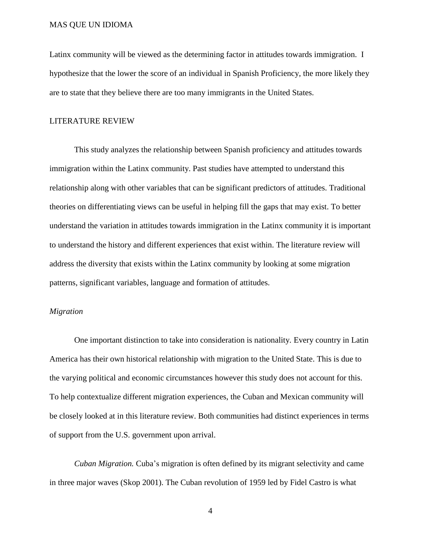Latinx community will be viewed as the determining factor in attitudes towards immigration. I hypothesize that the lower the score of an individual in Spanish Proficiency, the more likely they are to state that they believe there are too many immigrants in the United States.

#### LITERATURE REVIEW

This study analyzes the relationship between Spanish proficiency and attitudes towards immigration within the Latinx community. Past studies have attempted to understand this relationship along with other variables that can be significant predictors of attitudes. Traditional theories on differentiating views can be useful in helping fill the gaps that may exist. To better understand the variation in attitudes towards immigration in the Latinx community it is important to understand the history and different experiences that exist within. The literature review will address the diversity that exists within the Latinx community by looking at some migration patterns, significant variables, language and formation of attitudes.

#### *Migration*

One important distinction to take into consideration is nationality. Every country in Latin America has their own historical relationship with migration to the United State. This is due to the varying political and economic circumstances however this study does not account for this. To help contextualize different migration experiences, the Cuban and Mexican community will be closely looked at in this literature review. Both communities had distinct experiences in terms of support from the U.S. government upon arrival.

*Cuban Migration.* Cuba's migration is often defined by its migrant selectivity and came in three major waves (Skop 2001). The Cuban revolution of 1959 led by Fidel Castro is what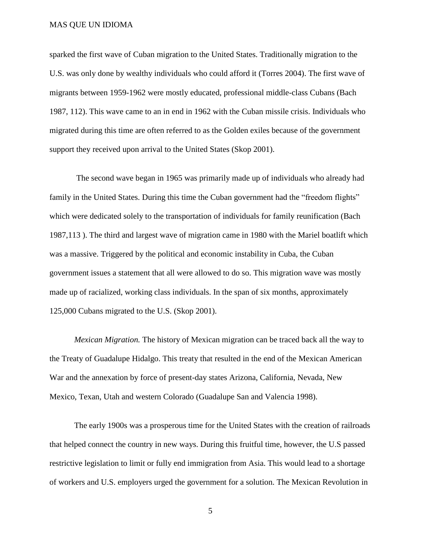sparked the first wave of Cuban migration to the United States. Traditionally migration to the U.S. was only done by wealthy individuals who could afford it (Torres 2004). The first wave of migrants between 1959-1962 were mostly educated, professional middle-class Cubans (Bach 1987, 112). This wave came to an in end in 1962 with the Cuban missile crisis. Individuals who migrated during this time are often referred to as the Golden exiles because of the government support they received upon arrival to the United States (Skop 2001).

The second wave began in 1965 was primarily made up of individuals who already had family in the United States. During this time the Cuban government had the "freedom flights" which were dedicated solely to the transportation of individuals for family reunification (Bach 1987,113 ). The third and largest wave of migration came in 1980 with the Mariel boatlift which was a massive. Triggered by the political and economic instability in Cuba, the Cuban government issues a statement that all were allowed to do so. This migration wave was mostly made up of racialized, working class individuals. In the span of six months, approximately 125,000 Cubans migrated to the U.S. (Skop 2001).

*Mexican Migration.* The history of Mexican migration can be traced back all the way to the Treaty of Guadalupe Hidalgo. This treaty that resulted in the end of the Mexican American War and the annexation by force of present-day states Arizona, California, Nevada, New Mexico, Texan, Utah and western Colorado (Guadalupe San and Valencia 1998).

The early 1900s was a prosperous time for the United States with the creation of railroads that helped connect the country in new ways. During this fruitful time, however, the U.S passed restrictive legislation to limit or fully end immigration from Asia. This would lead to a shortage of workers and U.S. employers urged the government for a solution. The Mexican Revolution in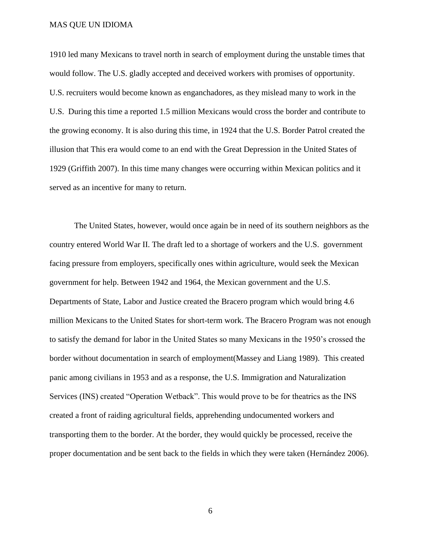1910 led many Mexicans to travel north in search of employment during the unstable times that would follow. The U.S. gladly accepted and deceived workers with promises of opportunity. U.S. recruiters would become known as enganchadores, as they mislead many to work in the U.S. During this time a reported 1.5 million Mexicans would cross the border and contribute to the growing economy. It is also during this time, in 1924 that the U.S. Border Patrol created the illusion that This era would come to an end with the Great Depression in the United States of 1929 (Griffith 2007). In this time many changes were occurring within Mexican politics and it served as an incentive for many to return.

The United States, however, would once again be in need of its southern neighbors as the country entered World War II. The draft led to a shortage of workers and the U.S. government facing pressure from employers, specifically ones within agriculture, would seek the Mexican government for help. Between 1942 and 1964, the Mexican government and the U.S. Departments of State, Labor and Justice created the Bracero program which would bring 4.6 million Mexicans to the United States for short-term work. The Bracero Program was not enough to satisfy the demand for labor in the United States so many Mexicans in the 1950's crossed the border without documentation in search of employment(Massey and Liang 1989). This created panic among civilians in 1953 and as a response, the U.S. Immigration and Naturalization Services (INS) created "Operation Wetback". This would prove to be for theatrics as the INS created a front of raiding agricultural fields, apprehending undocumented workers and transporting them to the border. At the border, they would quickly be processed, receive the proper documentation and be sent back to the fields in which they were taken (Hernández 2006).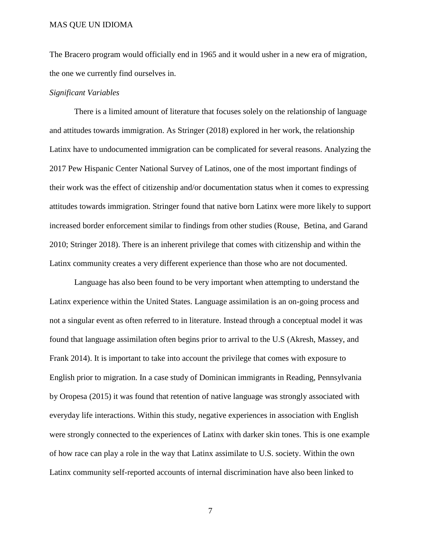The Bracero program would officially end in 1965 and it would usher in a new era of migration, the one we currently find ourselves in.

#### *Significant Variables*

There is a limited amount of literature that focuses solely on the relationship of language and attitudes towards immigration. As Stringer (2018) explored in her work, the relationship Latinx have to undocumented immigration can be complicated for several reasons. Analyzing the 2017 Pew Hispanic Center National Survey of Latinos, one of the most important findings of their work was the effect of citizenship and/or documentation status when it comes to expressing attitudes towards immigration. Stringer found that native born Latinx were more likely to support increased border enforcement similar to findings from other studies (Rouse, Betina, and Garand 2010; Stringer 2018). There is an inherent privilege that comes with citizenship and within the Latinx community creates a very different experience than those who are not documented.

Language has also been found to be very important when attempting to understand the Latinx experience within the United States. Language assimilation is an on-going process and not a singular event as often referred to in literature. Instead through a conceptual model it was found that language assimilation often begins prior to arrival to the U.S (Akresh, Massey, and Frank 2014). It is important to take into account the privilege that comes with exposure to English prior to migration. In a case study of Dominican immigrants in Reading, Pennsylvania by Oropesa (2015) it was found that retention of native language was strongly associated with everyday life interactions. Within this study, negative experiences in association with English were strongly connected to the experiences of Latinx with darker skin tones. This is one example of how race can play a role in the way that Latinx assimilate to U.S. society. Within the own Latinx community self-reported accounts of internal discrimination have also been linked to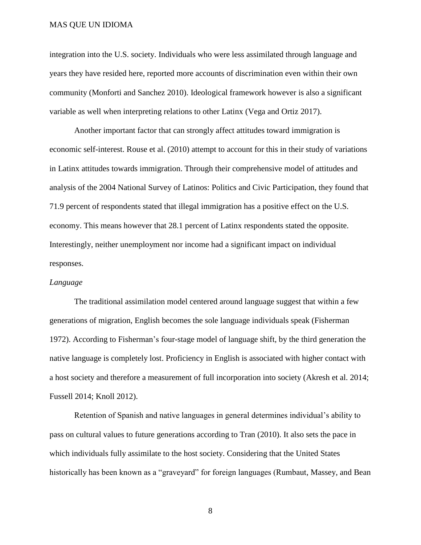integration into the U.S. society. Individuals who were less assimilated through language and years they have resided here, reported more accounts of discrimination even within their own community (Monforti and Sanchez 2010). Ideological framework however is also a significant variable as well when interpreting relations to other Latinx (Vega and Ortiz 2017).

Another important factor that can strongly affect attitudes toward immigration is economic self-interest. Rouse et al. (2010) attempt to account for this in their study of variations in Latinx attitudes towards immigration. Through their comprehensive model of attitudes and analysis of the 2004 National Survey of Latinos: Politics and Civic Participation, they found that 71.9 percent of respondents stated that illegal immigration has a positive effect on the U.S. economy. This means however that 28.1 percent of Latinx respondents stated the opposite. Interestingly, neither unemployment nor income had a significant impact on individual responses.

#### *Language*

The traditional assimilation model centered around language suggest that within a few generations of migration, English becomes the sole language individuals speak (Fisherman 1972). According to Fisherman's four-stage model of language shift, by the third generation the native language is completely lost. Proficiency in English is associated with higher contact with a host society and therefore a measurement of full incorporation into society (Akresh et al. 2014; Fussell 2014; Knoll 2012).

Retention of Spanish and native languages in general determines individual's ability to pass on cultural values to future generations according to Tran (2010). It also sets the pace in which individuals fully assimilate to the host society. Considering that the United States historically has been known as a "graveyard" for foreign languages (Rumbaut, Massey, and Bean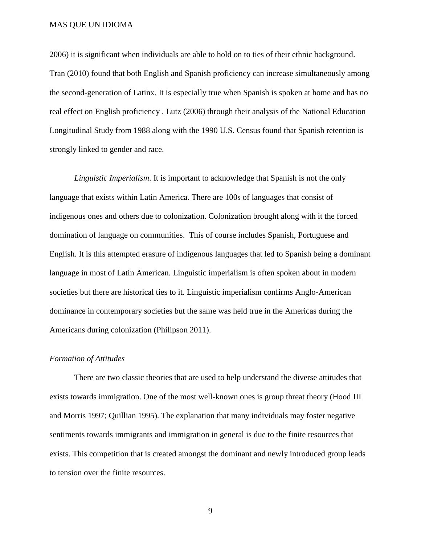2006) it is significant when individuals are able to hold on to ties of their ethnic background. Tran (2010) found that both English and Spanish proficiency can increase simultaneously among the second-generation of Latinx. It is especially true when Spanish is spoken at home and has no real effect on English proficiency . Lutz (2006) through their analysis of the National Education Longitudinal Study from 1988 along with the 1990 U.S. Census found that Spanish retention is strongly linked to gender and race.

*Linguistic Imperialism*. It is important to acknowledge that Spanish is not the only language that exists within Latin America. There are 100s of languages that consist of indigenous ones and others due to colonization. Colonization brought along with it the forced domination of language on communities. This of course includes Spanish, Portuguese and English. It is this attempted erasure of indigenous languages that led to Spanish being a dominant language in most of Latin American. Linguistic imperialism is often spoken about in modern societies but there are historical ties to it. Linguistic imperialism confirms Anglo-American dominance in contemporary societies but the same was held true in the Americas during the Americans during colonization (Philipson 2011).

#### *Formation of Attitudes*

There are two classic theories that are used to help understand the diverse attitudes that exists towards immigration. One of the most well-known ones is group threat theory (Hood III and Morris 1997; Quillian 1995). The explanation that many individuals may foster negative sentiments towards immigrants and immigration in general is due to the finite resources that exists. This competition that is created amongst the dominant and newly introduced group leads to tension over the finite resources.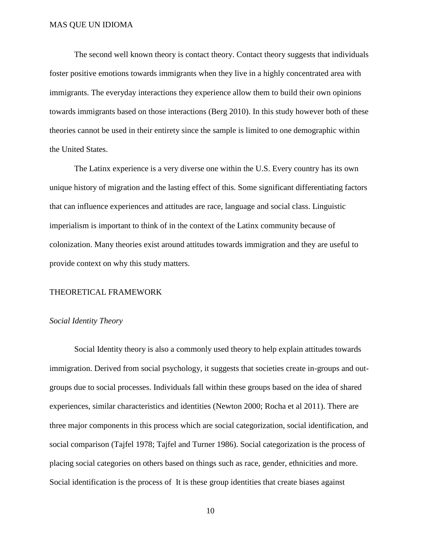The second well known theory is contact theory. Contact theory suggests that individuals foster positive emotions towards immigrants when they live in a highly concentrated area with immigrants. The everyday interactions they experience allow them to build their own opinions towards immigrants based on those interactions (Berg 2010). In this study however both of these theories cannot be used in their entirety since the sample is limited to one demographic within the United States.

The Latinx experience is a very diverse one within the U.S. Every country has its own unique history of migration and the lasting effect of this. Some significant differentiating factors that can influence experiences and attitudes are race, language and social class. Linguistic imperialism is important to think of in the context of the Latinx community because of colonization. Many theories exist around attitudes towards immigration and they are useful to provide context on why this study matters.

#### THEORETICAL FRAMEWORK

#### *Social Identity Theory*

Social Identity theory is also a commonly used theory to help explain attitudes towards immigration. Derived from social psychology, it suggests that societies create in-groups and outgroups due to social processes. Individuals fall within these groups based on the idea of shared experiences, similar characteristics and identities (Newton 2000; Rocha et al 2011). There are three major components in this process which are social categorization, social identification, and social comparison (Tajfel 1978; Tajfel and Turner 1986). Social categorization is the process of placing social categories on others based on things such as race, gender, ethnicities and more. Social identification is the process of It is these group identities that create biases against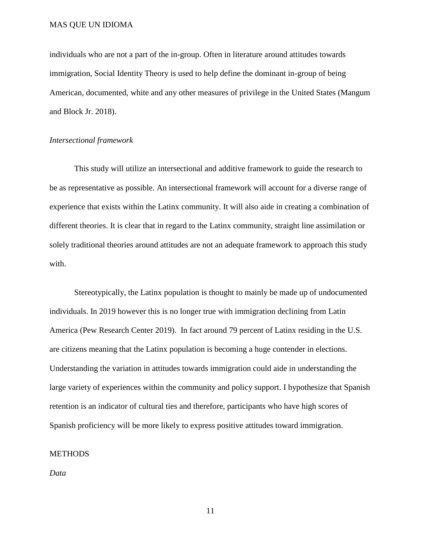individuals who are not a part of the in-group. Often in literature around attitudes towards immigration, Social Identity Theory is used to help define the dominant in-group of being American, documented, white and any other measures of privilege in the United States (Mangum and Block Jr. 2018).

#### *Intersectional framework*

This study will utilize an intersectional and additive framework to guide the research to be as representative as possible. An intersectional framework will account for a diverse range of experience that exists within the Latinx community. It will also aide in creating a combination of different theories. It is clear that in regard to the Latinx community, straight line assimilation or solely traditional theories around attitudes are not an adequate framework to approach this study with.

Stereotypically, the Latinx population is thought to mainly be made up of undocumented individuals. In 2019 however this is no longer true with immigration declining from Latin America (Pew Research Center 2019). In fact around 79 percent of Latinx residing in the U.S. are citizens meaning that the Latinx population is becoming a huge contender in elections. Understanding the variation in attitudes towards immigration could aide in understanding the large variety of experiences within the community and policy support. I hypothesize that Spanish retention is an indicator of cultural ties and therefore, participants who have high scores of Spanish proficiency will be more likely to express positive attitudes toward immigration.

#### **METHODS**

*Data*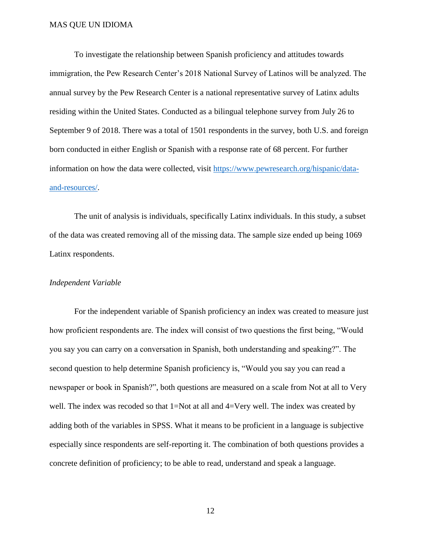To investigate the relationship between Spanish proficiency and attitudes towards immigration, the Pew Research Center's 2018 National Survey of Latinos will be analyzed. The annual survey by the Pew Research Center is a national representative survey of Latinx adults residing within the United States. Conducted as a bilingual telephone survey from July 26 to September 9 of 2018. There was a total of 1501 respondents in the survey, both U.S. and foreign born conducted in either English or Spanish with a response rate of 68 percent. For further information on how the data were collected, visit [https://www.pewresearch.org/hispanic/data](https://www.pewresearch.org/hispanic/data-and-resources/)[and-resources/.](https://www.pewresearch.org/hispanic/data-and-resources/)

The unit of analysis is individuals, specifically Latinx individuals. In this study, a subset of the data was created removing all of the missing data. The sample size ended up being 1069 Latinx respondents.

#### *Independent Variable*

For the independent variable of Spanish proficiency an index was created to measure just how proficient respondents are. The index will consist of two questions the first being, "Would you say you can carry on a conversation in Spanish, both understanding and speaking?". The second question to help determine Spanish proficiency is, "Would you say you can read a newspaper or book in Spanish?", both questions are measured on a scale from Not at all to Very well. The index was recoded so that 1=Not at all and 4=Very well. The index was created by adding both of the variables in SPSS. What it means to be proficient in a language is subjective especially since respondents are self-reporting it. The combination of both questions provides a concrete definition of proficiency; to be able to read, understand and speak a language.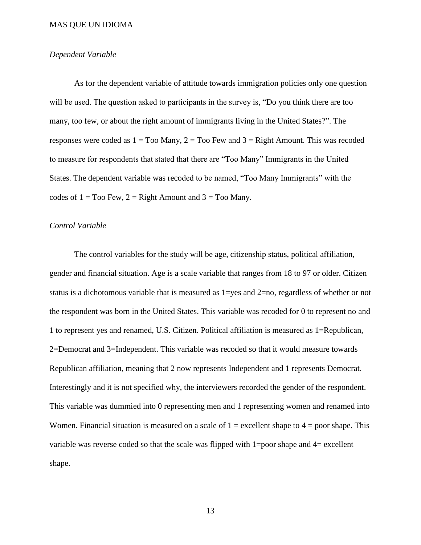#### *Dependent Variable*

As for the dependent variable of attitude towards immigration policies only one question will be used. The question asked to participants in the survey is, "Do you think there are too many, too few, or about the right amount of immigrants living in the United States?". The responses were coded as  $1 = \text{To}$  Many,  $2 = \text{To}$  Few and  $3 = \text{Right}$  Amount. This was recoded to measure for respondents that stated that there are "Too Many" Immigrants in the United States. The dependent variable was recoded to be named, "Too Many Immigrants" with the codes of  $1 = \text{Too Few}, 2 = \text{Right Amount}$  and  $3 = \text{Too Many}.$ 

#### *Control Variable*

The control variables for the study will be age, citizenship status, political affiliation, gender and financial situation. Age is a scale variable that ranges from 18 to 97 or older. Citizen status is a dichotomous variable that is measured as  $1 = yes$  and  $2 = no$ , regardless of whether or not the respondent was born in the United States. This variable was recoded for 0 to represent no and 1 to represent yes and renamed, U.S. Citizen. Political affiliation is measured as 1=Republican, 2=Democrat and 3=Independent. This variable was recoded so that it would measure towards Republican affiliation, meaning that 2 now represents Independent and 1 represents Democrat. Interestingly and it is not specified why, the interviewers recorded the gender of the respondent. This variable was dummied into 0 representing men and 1 representing women and renamed into Women. Financial situation is measured on a scale of  $1 =$  excellent shape to  $4 =$  poor shape. This variable was reverse coded so that the scale was flipped with 1=poor shape and 4= excellent shape.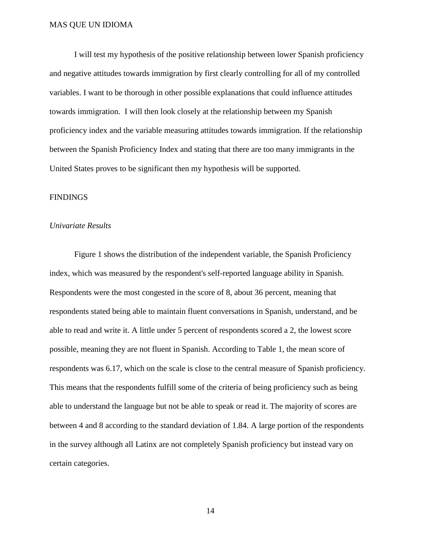I will test my hypothesis of the positive relationship between lower Spanish proficiency and negative attitudes towards immigration by first clearly controlling for all of my controlled variables. I want to be thorough in other possible explanations that could influence attitudes towards immigration. I will then look closely at the relationship between my Spanish proficiency index and the variable measuring attitudes towards immigration. If the relationship between the Spanish Proficiency Index and stating that there are too many immigrants in the United States proves to be significant then my hypothesis will be supported.

#### **FINDINGS**

#### *Univariate Results*

Figure 1 shows the distribution of the independent variable, the Spanish Proficiency index, which was measured by the respondent's self-reported language ability in Spanish. Respondents were the most congested in the score of 8, about 36 percent, meaning that respondents stated being able to maintain fluent conversations in Spanish, understand, and be able to read and write it. A little under 5 percent of respondents scored a 2, the lowest score possible, meaning they are not fluent in Spanish. According to Table 1, the mean score of respondents was 6.17, which on the scale is close to the central measure of Spanish proficiency. This means that the respondents fulfill some of the criteria of being proficiency such as being able to understand the language but not be able to speak or read it. The majority of scores are between 4 and 8 according to the standard deviation of 1.84. A large portion of the respondents in the survey although all Latinx are not completely Spanish proficiency but instead vary on certain categories.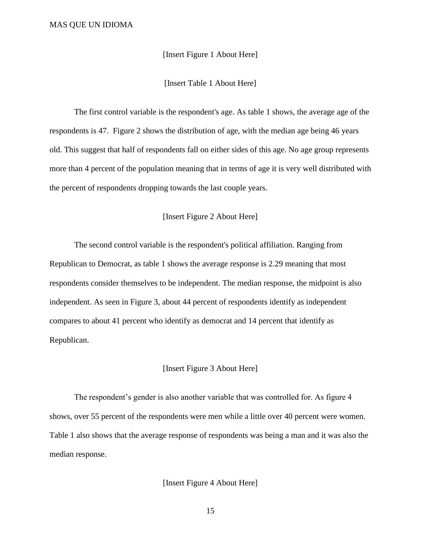[Insert Figure 1 About Here]

[Insert Table 1 About Here]

The first control variable is the respondent's age. As table 1 shows, the average age of the respondents is 47. Figure 2 shows the distribution of age, with the median age being 46 years old. This suggest that half of respondents fall on either sides of this age. No age group represents more than 4 percent of the population meaning that in terms of age it is very well distributed with the percent of respondents dropping towards the last couple years.

#### [Insert Figure 2 About Here]

The second control variable is the respondent's political affiliation. Ranging from Republican to Democrat, as table 1 shows the average response is 2.29 meaning that most respondents consider themselves to be independent. The median response, the midpoint is also independent. As seen in Figure 3, about 44 percent of respondents identify as independent compares to about 41 percent who identify as democrat and 14 percent that identify as Republican.

#### [Insert Figure 3 About Here]

The respondent's gender is also another variable that was controlled for. As figure 4 shows, over 55 percent of the respondents were men while a little over 40 percent were women. Table 1 also shows that the average response of respondents was being a man and it was also the median response.

[Insert Figure 4 About Here]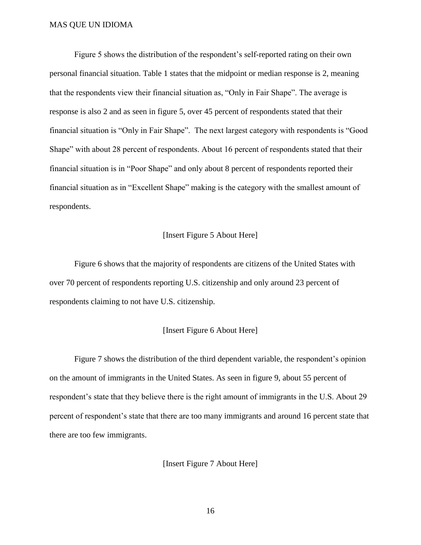Figure 5 shows the distribution of the respondent's self-reported rating on their own personal financial situation. Table 1 states that the midpoint or median response is 2, meaning that the respondents view their financial situation as, "Only in Fair Shape". The average is response is also 2 and as seen in figure 5, over 45 percent of respondents stated that their financial situation is "Only in Fair Shape". The next largest category with respondents is "Good Shape" with about 28 percent of respondents. About 16 percent of respondents stated that their financial situation is in "Poor Shape" and only about 8 percent of respondents reported their financial situation as in "Excellent Shape" making is the category with the smallest amount of respondents.

#### [Insert Figure 5 About Here]

Figure 6 shows that the majority of respondents are citizens of the United States with over 70 percent of respondents reporting U.S. citizenship and only around 23 percent of respondents claiming to not have U.S. citizenship.

#### [Insert Figure 6 About Here]

Figure 7 shows the distribution of the third dependent variable, the respondent's opinion on the amount of immigrants in the United States. As seen in figure 9, about 55 percent of respondent's state that they believe there is the right amount of immigrants in the U.S. About 29 percent of respondent's state that there are too many immigrants and around 16 percent state that there are too few immigrants.

[Insert Figure 7 About Here]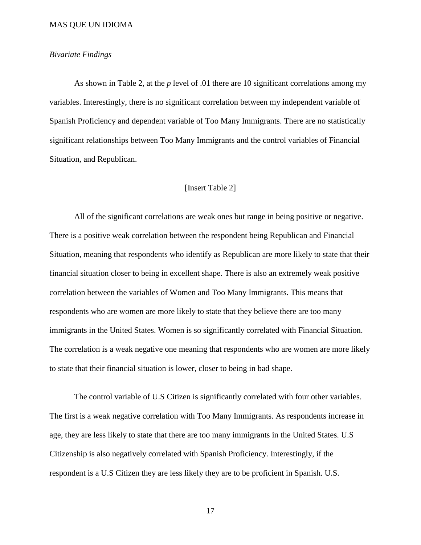#### *Bivariate Findings*

As shown in Table 2, at the *p* level of .01 there are 10 significant correlations among my variables. Interestingly, there is no significant correlation between my independent variable of Spanish Proficiency and dependent variable of Too Many Immigrants. There are no statistically significant relationships between Too Many Immigrants and the control variables of Financial Situation, and Republican.

#### [Insert Table 2]

All of the significant correlations are weak ones but range in being positive or negative. There is a positive weak correlation between the respondent being Republican and Financial Situation, meaning that respondents who identify as Republican are more likely to state that their financial situation closer to being in excellent shape. There is also an extremely weak positive correlation between the variables of Women and Too Many Immigrants. This means that respondents who are women are more likely to state that they believe there are too many immigrants in the United States. Women is so significantly correlated with Financial Situation. The correlation is a weak negative one meaning that respondents who are women are more likely to state that their financial situation is lower, closer to being in bad shape.

The control variable of U.S Citizen is significantly correlated with four other variables. The first is a weak negative correlation with Too Many Immigrants. As respondents increase in age, they are less likely to state that there are too many immigrants in the United States. U.S Citizenship is also negatively correlated with Spanish Proficiency. Interestingly, if the respondent is a U.S Citizen they are less likely they are to be proficient in Spanish. U.S.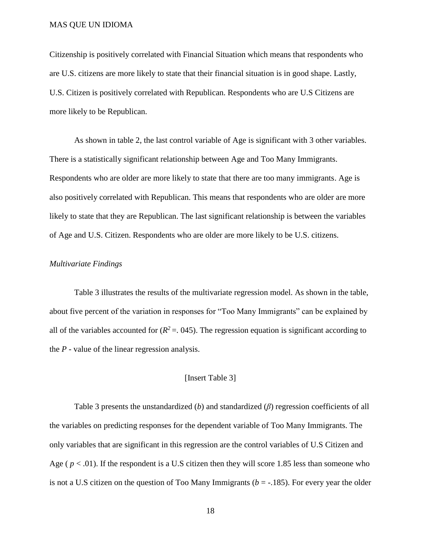Citizenship is positively correlated with Financial Situation which means that respondents who are U.S. citizens are more likely to state that their financial situation is in good shape. Lastly, U.S. Citizen is positively correlated with Republican. Respondents who are U.S Citizens are more likely to be Republican.

As shown in table 2, the last control variable of Age is significant with 3 other variables. There is a statistically significant relationship between Age and Too Many Immigrants. Respondents who are older are more likely to state that there are too many immigrants. Age is also positively correlated with Republican. This means that respondents who are older are more likely to state that they are Republican. The last significant relationship is between the variables of Age and U.S. Citizen. Respondents who are older are more likely to be U.S. citizens.

#### *Multivariate Findings*

Table 3 illustrates the results of the multivariate regression model. As shown in the table, about five percent of the variation in responses for "Too Many Immigrants" can be explained by all of the variables accounted for  $(R^2 = .045)$ . The regression equation is significant according to the *P -* value of the linear regression analysis.

#### [Insert Table 3]

Table 3 presents the unstandardized (*b*) and standardized (*β*) regression coefficients of all the variables on predicting responses for the dependent variable of Too Many Immigrants. The only variables that are significant in this regression are the control variables of U.S Citizen and Age ( $p < .01$ ). If the respondent is a U.S citizen then they will score 1.85 less than someone who is not a U.S citizen on the question of Too Many Immigrants ( $b = -185$ ). For every year the older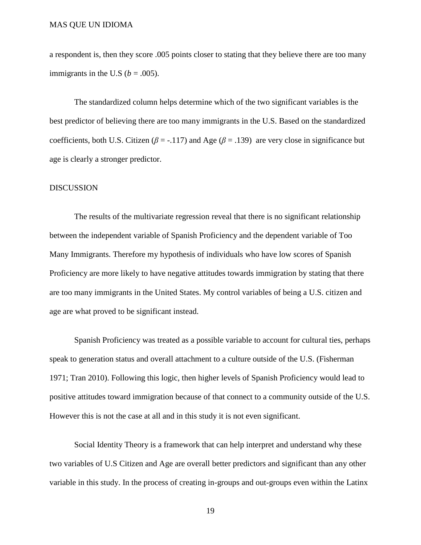a respondent is, then they score .005 points closer to stating that they believe there are too many immigrants in the U.S ( $b = .005$ ).

The standardized column helps determine which of the two significant variables is the best predictor of believing there are too many immigrants in the U.S. Based on the standardized coefficients, both U.S. Citizen ( $\beta$  = -.117) and Age ( $\beta$  = .139) are very close in significance but age is clearly a stronger predictor.

#### DISCUSSION

The results of the multivariate regression reveal that there is no significant relationship between the independent variable of Spanish Proficiency and the dependent variable of Too Many Immigrants. Therefore my hypothesis of individuals who have low scores of Spanish Proficiency are more likely to have negative attitudes towards immigration by stating that there are too many immigrants in the United States. My control variables of being a U.S. citizen and age are what proved to be significant instead.

Spanish Proficiency was treated as a possible variable to account for cultural ties, perhaps speak to generation status and overall attachment to a culture outside of the U.S. (Fisherman 1971; Tran 2010). Following this logic, then higher levels of Spanish Proficiency would lead to positive attitudes toward immigration because of that connect to a community outside of the U.S. However this is not the case at all and in this study it is not even significant.

Social Identity Theory is a framework that can help interpret and understand why these two variables of U.S Citizen and Age are overall better predictors and significant than any other variable in this study. In the process of creating in-groups and out-groups even within the Latinx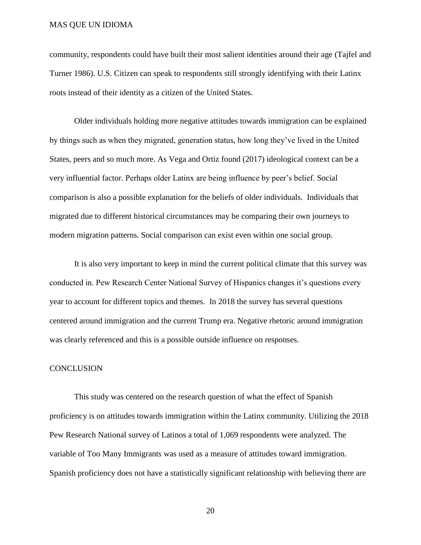community, respondents could have built their most salient identities around their age (Tajfel and Turner 1986). U.S. Citizen can speak to respondents still strongly identifying with their Latinx roots instead of their identity as a citizen of the United States.

Older individuals holding more negative attitudes towards immigration can be explained by things such as when they migrated, generation status, how long they've lived in the United States, peers and so much more. As Vega and Ortiz found (2017) ideological context can be a very influential factor. Perhaps older Latinx are being influence by peer's belief. Social comparison is also a possible explanation for the beliefs of older individuals. Individuals that migrated due to different historical circumstances may be comparing their own journeys to modern migration patterns. Social comparison can exist even within one social group.

It is also very important to keep in mind the current political climate that this survey was conducted in. Pew Research Center National Survey of Hispanics changes it's questions every year to account for different topics and themes. In 2018 the survey has several questions centered around immigration and the current Trump era. Negative rhetoric around immigration was clearly referenced and this is a possible outside influence on responses.

#### **CONCLUSION**

This study was centered on the research question of what the effect of Spanish proficiency is on attitudes towards immigration within the Latinx community. Utilizing the 2018 Pew Research National survey of Latinos a total of 1,069 respondents were analyzed. The variable of Too Many Immigrants was used as a measure of attitudes toward immigration. Spanish proficiency does not have a statistically significant relationship with believing there are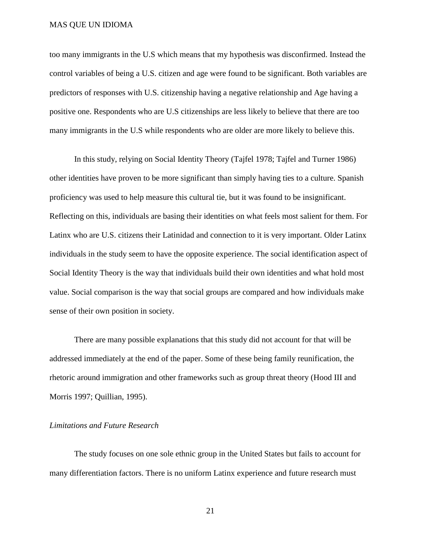too many immigrants in the U.S which means that my hypothesis was disconfirmed. Instead the control variables of being a U.S. citizen and age were found to be significant. Both variables are predictors of responses with U.S. citizenship having a negative relationship and Age having a positive one. Respondents who are U.S citizenships are less likely to believe that there are too many immigrants in the U.S while respondents who are older are more likely to believe this.

In this study, relying on Social Identity Theory (Tajfel 1978; Tajfel and Turner 1986) other identities have proven to be more significant than simply having ties to a culture. Spanish proficiency was used to help measure this cultural tie, but it was found to be insignificant. Reflecting on this, individuals are basing their identities on what feels most salient for them. For Latinx who are U.S. citizens their Latinidad and connection to it is very important. Older Latinx individuals in the study seem to have the opposite experience. The social identification aspect of Social Identity Theory is the way that individuals build their own identities and what hold most value. Social comparison is the way that social groups are compared and how individuals make sense of their own position in society.

There are many possible explanations that this study did not account for that will be addressed immediately at the end of the paper. Some of these being family reunification, the rhetoric around immigration and other frameworks such as group threat theory (Hood III and Morris 1997; Quillian, 1995).

#### *Limitations and Future Research*

The study focuses on one sole ethnic group in the United States but fails to account for many differentiation factors. There is no uniform Latinx experience and future research must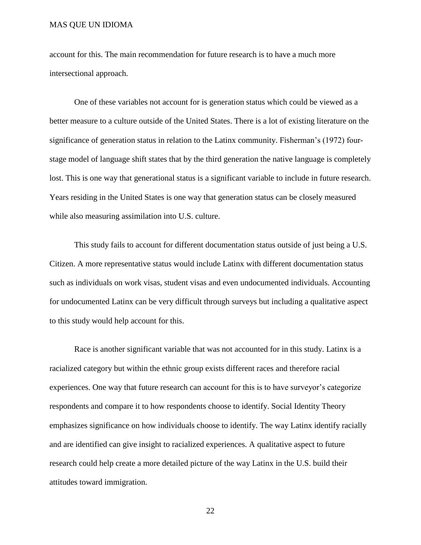account for this. The main recommendation for future research is to have a much more intersectional approach.

One of these variables not account for is generation status which could be viewed as a better measure to a culture outside of the United States. There is a lot of existing literature on the significance of generation status in relation to the Latinx community. Fisherman's (1972) fourstage model of language shift states that by the third generation the native language is completely lost. This is one way that generational status is a significant variable to include in future research. Years residing in the United States is one way that generation status can be closely measured while also measuring assimilation into U.S. culture.

This study fails to account for different documentation status outside of just being a U.S. Citizen. A more representative status would include Latinx with different documentation status such as individuals on work visas, student visas and even undocumented individuals. Accounting for undocumented Latinx can be very difficult through surveys but including a qualitative aspect to this study would help account for this.

Race is another significant variable that was not accounted for in this study. Latinx is a racialized category but within the ethnic group exists different races and therefore racial experiences. One way that future research can account for this is to have surveyor's categorize respondents and compare it to how respondents choose to identify. Social Identity Theory emphasizes significance on how individuals choose to identify. The way Latinx identify racially and are identified can give insight to racialized experiences. A qualitative aspect to future research could help create a more detailed picture of the way Latinx in the U.S. build their attitudes toward immigration.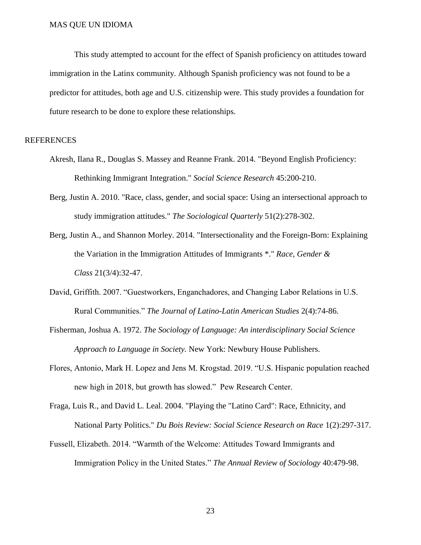This study attempted to account for the effect of Spanish proficiency on attitudes toward immigration in the Latinx community. Although Spanish proficiency was not found to be a predictor for attitudes, both age and U.S. citizenship were. This study provides a foundation for future research to be done to explore these relationships.

#### **REFERENCES**

- Akresh, Ilana R., Douglas S. Massey and Reanne Frank. 2014. "Beyond English Proficiency: Rethinking Immigrant Integration." *Social Science Research* 45:200-210.
- Berg, Justin A. 2010. "Race, class, gender, and social space: Using an intersectional approach to study immigration attitudes." *The Sociological Quarterly* 51(2):278-302.
- Berg, Justin A., and Shannon Morley. 2014. "Intersectionality and the Foreign-Born: Explaining the Variation in the Immigration Attitudes of Immigrants \*." *Race, Gender & Class* 21(3/4):32-47.
- David, Griffith. 2007. "Guestworkers, Enganchadores, and Changing Labor Relations in U.S. Rural Communities." *The Journal of Latino-Latin American Studies* 2(4):74-86.
- Fisherman, Joshua A. 1972. *The Sociology of Language: An interdisciplinary Social Science Approach to Language in Society.* New York: Newbury House Publishers.
- Flores, Antonio, Mark H. Lopez and Jens M. Krogstad. 2019. "U.S. Hispanic population reached new high in 2018, but growth has slowed." Pew Research Center.
- Fraga, Luis R., and David L. Leal. 2004. "Playing the "Latino Card": Race, Ethnicity, and National Party Politics." *Du Bois Review: Social Science Research on Race* 1(2):297-317.
- Fussell, Elizabeth. 2014. "Warmth of the Welcome: Attitudes Toward Immigrants and Immigration Policy in the United States." *The Annual Review of Sociology* 40:479-98.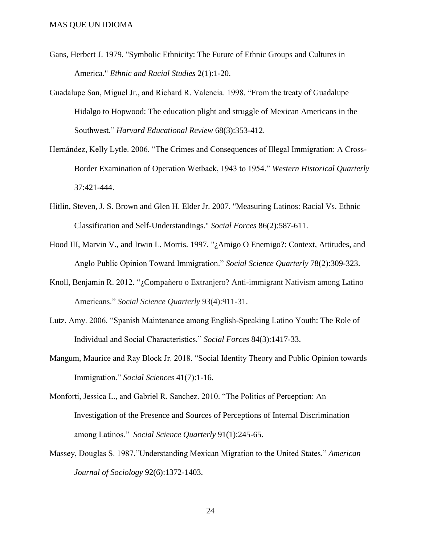- Gans, Herbert J. 1979. "Symbolic Ethnicity: The Future of Ethnic Groups and Cultures in America." *Ethnic and Racial Studies* 2(1):1-20.
- Guadalupe San, Miguel Jr., and Richard R. Valencia. 1998. "From the treaty of Guadalupe Hidalgo to Hopwood: The education plight and struggle of Mexican Americans in the Southwest." *Harvard Educational Review* 68(3):353-412.
- Hernández, Kelly Lytle. 2006. "The Crimes and Consequences of Illegal Immigration: A Cross-Border Examination of Operation Wetback, 1943 to 1954." *Western Historical Quarterly* 37:421-444.
- Hitlin, Steven, J. S. Brown and Glen H. Elder Jr. 2007. "Measuring Latinos: Racial Vs. Ethnic Classification and Self-Understandings." *Social Forces* 86(2):587-611.
- Hood III, Marvin V., and Irwin L. Morris. 1997. "¿Amigo O Enemigo?: Context, Attitudes, and Anglo Public Opinion Toward Immigration." *Social Science Quarterly* 78(2):309-323.
- Knoll, Benjamin R. 2012. "¿Compañero o Extranjero? Anti-immigrant Nativism among Latino Americans." *Social Science Quarterly* 93(4):911-31.
- Lutz, Amy. 2006. "Spanish Maintenance among English-Speaking Latino Youth: The Role of Individual and Social Characteristics." *Social Forces* 84(3):1417-33.
- Mangum, Maurice and Ray Block Jr. 2018. "Social Identity Theory and Public Opinion towards Immigration." *Social Sciences* 41(7):1-16.
- Monforti, Jessica L., and Gabriel R. Sanchez. 2010. "The Politics of Perception: An Investigation of the Presence and Sources of Perceptions of Internal Discrimination among Latinos." *Social Science Quarterly* 91(1):245-65.
- Massey, Douglas S. 1987."Understanding Mexican Migration to the United States." *American Journal of Sociology* 92(6):1372-1403.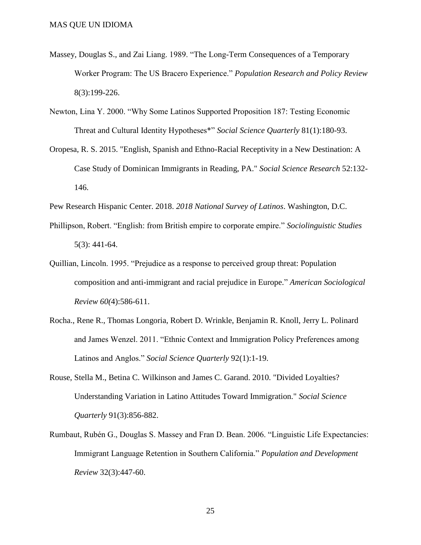- Massey, Douglas S., and Zai Liang. 1989. "The Long-Term Consequences of a Temporary Worker Program: The US Bracero Experience." *Population Research and Policy Review* 8(3):199-226.
- Newton, Lina Y. 2000. "Why Some Latinos Supported Proposition 187: Testing Economic Threat and Cultural Identity Hypotheses\*" *Social Science Quarterly* 81(1):180-93.
- Oropesa, R. S. 2015. "English, Spanish and Ethno-Racial Receptivity in a New Destination: A Case Study of Dominican Immigrants in Reading, PA." *Social Science Research* 52:132- 146.
- Pew Research Hispanic Center. 2018. *2018 National Survey of Latinos*. Washington, D.C.
- Phillipson, Robert. "English: from British empire to corporate empire." *Sociolinguistic Studies* 5(3): 441-64.
- Quillian, Lincoln. 1995. "Prejudice as a response to perceived group threat: Population composition and anti-immigrant and racial prejudice in Europe." *American Sociological Review 60(*4):586-611.
- Rocha., Rene R., Thomas Longoria, Robert D. Wrinkle, Benjamin R. Knoll, Jerry L. Polinard and James Wenzel. 2011. "Ethnic Context and Immigration Policy Preferences among Latinos and Anglos." *Social Science Quarterly* 92(1):1-19.
- Rouse, Stella M., Betina C. Wilkinson and James C. Garand. 2010. "Divided Loyalties? Understanding Variation in Latino Attitudes Toward Immigration." *Social Science Quarterly* 91(3):856-882.
- Rumbaut, Rubén G., Douglas S. Massey and Fran D. Bean. 2006. "Linguistic Life Expectancies: Immigrant Language Retention in Southern California." *Population and Development Review* 32(3):447-60.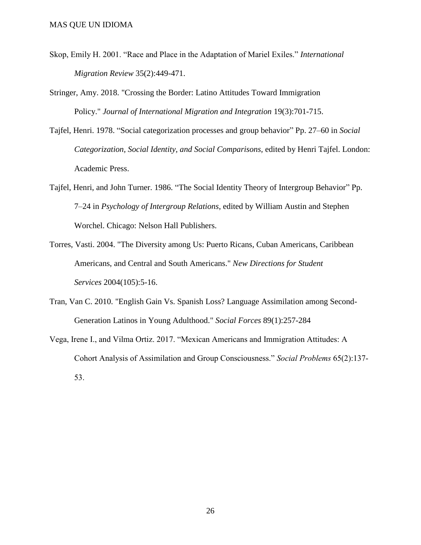- Skop, Emily H. 2001. "Race and Place in the Adaptation of Mariel Exiles." *International Migration Review* 35(2):449-471.
- Stringer, Amy. 2018. "Crossing the Border: Latino Attitudes Toward Immigration Policy." *Journal of International Migration and Integration* 19(3):701-715.
- Tajfel, Henri. 1978. "Social categorization processes and group behavior" Pp. 27–60 in *Social Categorization, Social Identity, and Social Comparisons,* edited by Henri Tajfel. London: Academic Press.
- Tajfel, Henri, and John Turner. 1986. "The Social Identity Theory of Intergroup Behavior" Pp. 7–24 in *Psychology of Intergroup Relations*, edited by William Austin and Stephen Worchel. Chicago: Nelson Hall Publishers.
- Torres, Vasti. 2004. "The Diversity among Us: Puerto Ricans, Cuban Americans, Caribbean Americans, and Central and South Americans." *New Directions for Student Services* 2004(105):5-16.
- Tran, Van C. 2010. "English Gain Vs. Spanish Loss? Language Assimilation among Second-Generation Latinos in Young Adulthood." *Social Forces* 89(1):257-284
- Vega, Irene I., and Vilma Ortiz. 2017. "Mexican Americans and Immigration Attitudes: A Cohort Analysis of Assimilation and Group Consciousness." *Social Problems* 65(2):137- 53.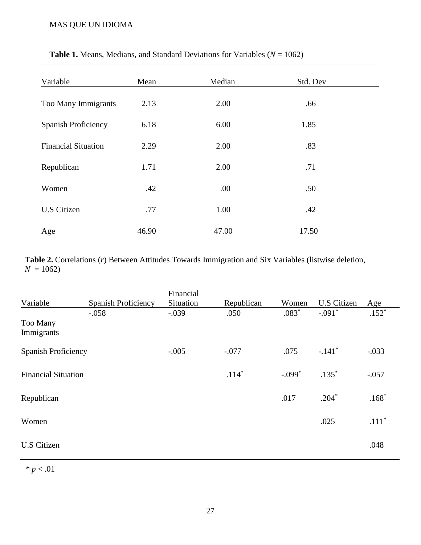| Variable                   | Mean  | Median | Std. Dev |  |
|----------------------------|-------|--------|----------|--|
| Too Many Immigrants        | 2.13  | 2.00   | .66      |  |
| <b>Spanish Proficiency</b> | 6.18  | 6.00   | 1.85     |  |
| <b>Financial Situation</b> | 2.29  | 2.00   | .83      |  |
| Republican                 | 1.71  | 2.00   | .71      |  |
| Women                      | .42   | .00.   | .50      |  |
| <b>U.S Citizen</b>         | .77   | 1.00   | .42      |  |
| Age                        | 46.90 | 47.00  | 17.50    |  |

### **Table 1.** Means, Medians, and Standard Deviations for Variables ( $N = 1062$ )

**Table 2.** Correlations (*r*) Between Attitudes Towards Immigration and Six Variables (listwise deletion,  $N = 1062$ 

| Variable                   | <b>Spanish Proficiency</b> | Financial<br>Situation | Republican | Women    | <b>U.S Citizen</b>   | Age     |
|----------------------------|----------------------------|------------------------|------------|----------|----------------------|---------|
| Too Many<br>Immigrants     | $-.058$                    | $-.039$                | .050       | $.083*$  | $-.091*$             | $.152*$ |
| <b>Spanish Proficiency</b> |                            | $-.005$                | $-.077$    | .075     | $-.141$ <sup>*</sup> | $-.033$ |
| <b>Financial Situation</b> |                            |                        | $.114*$    | $-.099*$ | $.135*$              | $-.057$ |
| Republican                 |                            |                        |            | .017     | $.204*$              | $.168*$ |
| Women                      |                            |                        |            |          | .025                 | $.111*$ |
| <b>U.S Citizen</b>         |                            |                        |            |          |                      | .048    |

*\* p* < .01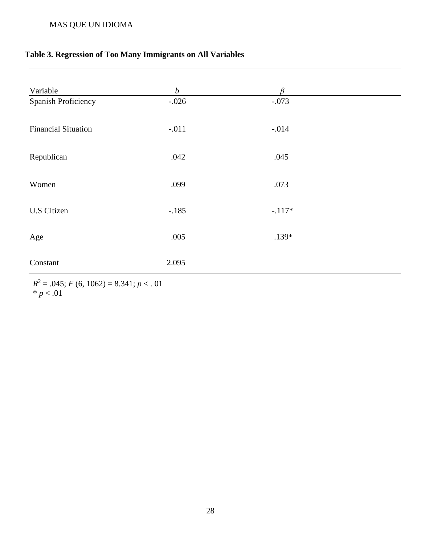## **Table 3. Regression of Too Many Immigrants on All Variables**

| Variable                   | $\boldsymbol{b}$ | ß        |  |
|----------------------------|------------------|----------|--|
| Spanish Proficiency        | $-.026$          | $-.073$  |  |
| <b>Financial Situation</b> | $-.011$          | $-.014$  |  |
| Republican                 | .042             | .045     |  |
| Women                      | .099             | .073     |  |
| <b>U.S Citizen</b>         | $-.185$          | $-.117*$ |  |
| Age                        | .005             | $.139*$  |  |
| Constant                   | 2.095            |          |  |

 $R^2 = .045$ ; *F* (6, 1062) = 8.341; *p* < . 01  $* p < .01$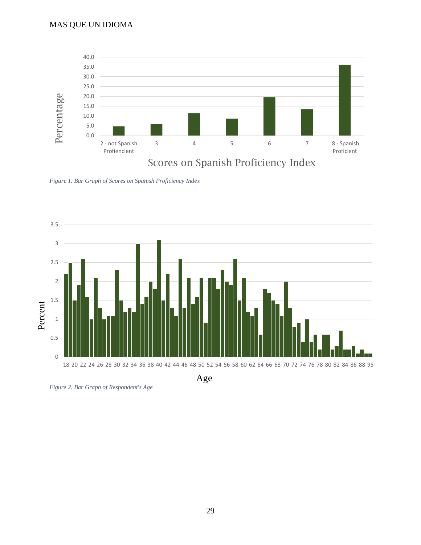

*Figure 1. Bar Graph of Scores on Spanish Proficiency Index*



*Figure 2. Bar Graph of Respondent's Age*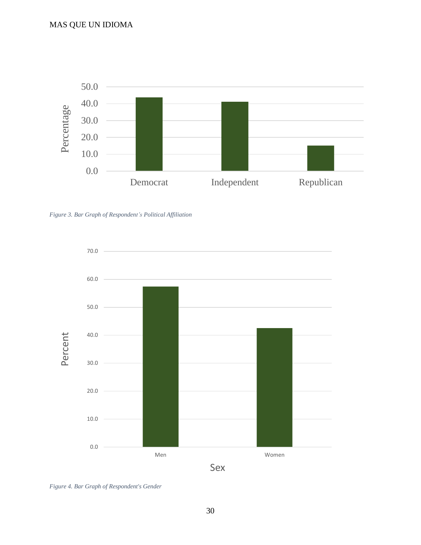

*Figure 3. Bar Graph of Respondent's Political Affiliation*



*Figure 4. Bar Graph of Respondent's Gender*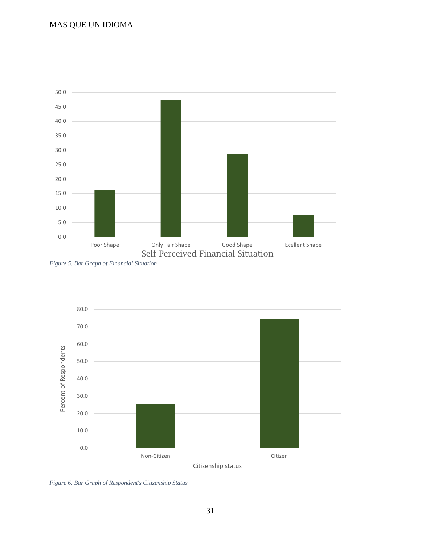

*Figure 5. Bar Graph of Financial Situation*



*Figure 6. Bar Graph of Respondent's Citizenship Status*